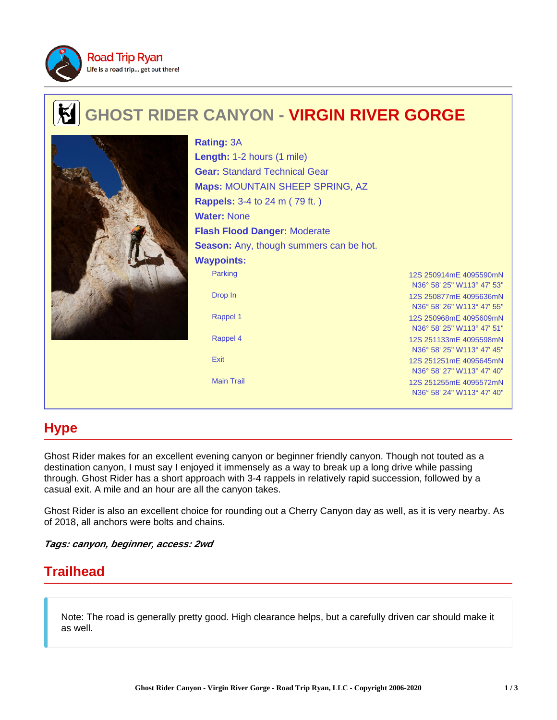

# **GHOST RIDER CANYON - VIRGIN RIVER GORGE**



Parking 12S 250914mE 4095590mN N36° 58' 25" W113° 47' 53" Drop In 12S 250877mE 4095636mN N36° 58' 26" W113° 47' 55" Rappel 1 12S 250968mF 4095609mN N36° 58' 25" W113° 47' 51" Rappel 4 12S 251133mE 4095598mN N36° 58' 25" W113° 47' 45" Exit 12S 251251mE 4095645mN N36° 58' 27" W113° 47' 40" Main Trail 12S 251255mE 4095572mN N36° 58' 24" W113° 47' 40" **Rating:** 3A **Length:** 1-2 hours (1 mile) **Gear:** Standard Technical Gear **Maps:** MOUNTAIN SHEEP SPRING, AZ **Rappels:** 3-4 to 24 m ( 79 ft. ) **Water:** None **Flash Flood Danger:** Moderate **Season:** Any, though summers can be hot. **Waypoints:**

# **Hype**

Ghost Rider makes for an excellent evening canyon or beginner friendly canyon. Though not touted as a destination canyon, I must say I enjoyed it immensely as a way to break up a long drive while passing through. Ghost Rider has a short approach with 3-4 rappels in relatively rapid succession, followed by a casual exit. A mile and an hour are all the canyon takes.

Ghost Rider is also an excellent choice for rounding out a Cherry Canyon day as well, as it is very nearby. As of 2018, all anchors were bolts and chains.

**Tags: canyon, beginner, access: 2wd**

# **Trailhead**

Note: The road is generally pretty good. High clearance helps, but a carefully driven car should make it as well.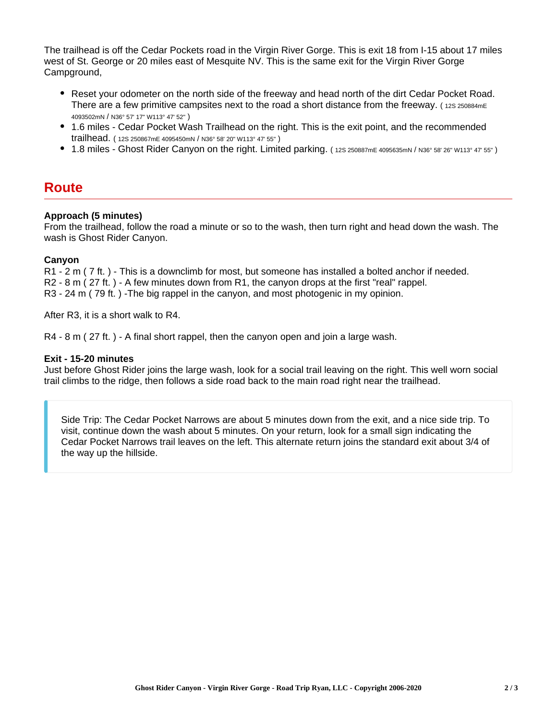The trailhead is off the Cedar Pockets road in the Virgin River Gorge. This is exit 18 from I-15 about 17 miles west of St. George or 20 miles east of Mesquite NV. This is the same exit for the Virgin River Gorge Campground,

- Reset your odometer on the north side of the freeway and head north of the dirt Cedar Pocket Road. There are a few primitive campsites next to the road a short distance from the freeway. (12S 250884mE) 4093502mN / N36° 57' 17" W113° 47' 52" )
- 1.6 miles Cedar Pocket Wash Trailhead on the right. This is the exit point, and the recommended trailhead. ( 12S 250867mE 4095450mN / N36° 58' 20" W113° 47' 55" )
- 1.8 miles Ghost Rider Canyon on the right. Limited parking. ( 12S 250887mE 4095635mN / N36° 58' 26" W113° 47' 55" )

### **Route**

### **Approach (5 minutes)**

From the trailhead, follow the road a minute or so to the wash, then turn right and head down the wash. The wash is Ghost Rider Canyon.

### **Canyon**

R1 - 2 m ( 7 ft. ) - This is a downclimb for most, but someone has installed a bolted anchor if needed. R2 - 8 m ( 27 ft. ) - A few minutes down from R1, the canyon drops at the first "real" rappel. R3 - 24 m ( 79 ft. ) -The big rappel in the canyon, and most photogenic in my opinion.

After R3, it is a short walk to R4.

R4 - 8 m ( 27 ft. ) - A final short rappel, then the canyon open and join a large wash.

#### **Exit - 15-20 minutes**

Just before Ghost Rider joins the large wash, look for a social trail leaving on the right. This well worn social trail climbs to the ridge, then follows a side road back to the main road right near the trailhead.

Side Trip: The Cedar Pocket Narrows are about 5 minutes down from the exit, and a nice side trip. To visit, continue down the wash about 5 minutes. On your return, look for a small sign indicating the Cedar Pocket Narrows trail leaves on the left. This alternate return joins the standard exit about 3/4 of the way up the hillside.